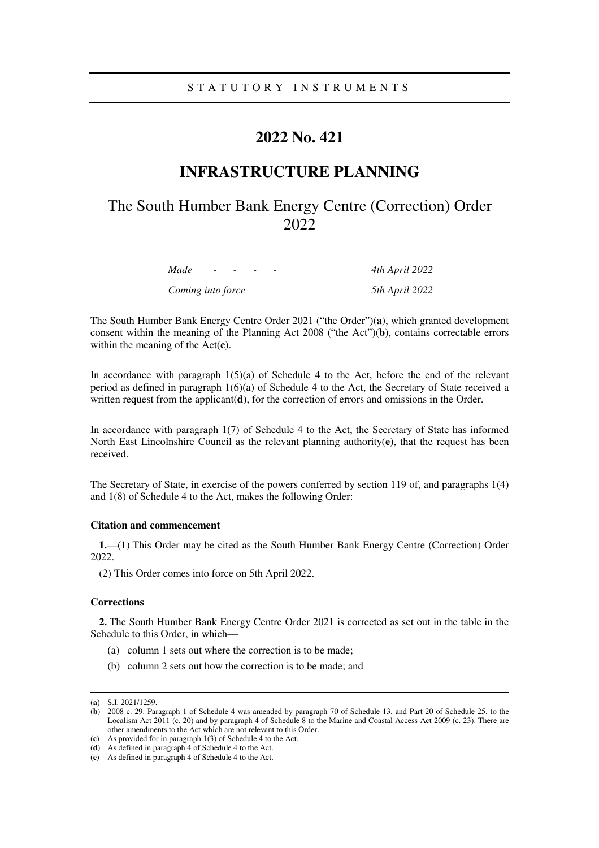## S T A T U T O R Y I N S T R U M E N T S

# **2022 No. 421**

# **INFRASTRUCTURE PLANNING**

# The South Humber Bank Energy Centre (Correction) Order 2022

*Made - - - - 4th April 2022* 

*Coming into force 5th April 2022* 

The South Humber Bank Energy Centre Order 2021 ("the Order")(**a**), which granted development consent within the meaning of the Planning Act 2008 ("the Act")(**b**), contains correctable errors within the meaning of the Act(**c**).

In accordance with paragraph  $1(5)(a)$  of Schedule 4 to the Act, before the end of the relevant period as defined in paragraph 1(6)(a) of Schedule 4 to the Act, the Secretary of State received a written request from the applicant(**d**), for the correction of errors and omissions in the Order.

In accordance with paragraph 1(7) of Schedule 4 to the Act, the Secretary of State has informed North East Lincolnshire Council as the relevant planning authority(**e**), that the request has been received.

The Secretary of State, in exercise of the powers conferred by section 119 of, and paragraphs 1(4) and 1(8) of Schedule 4 to the Act, makes the following Order:

#### **Citation and commencement**

**1.**—(1) This Order may be cited as the South Humber Bank Energy Centre (Correction) Order 2022.

(2) This Order comes into force on 5th April 2022.

#### **Corrections**

**2.** The South Humber Bank Energy Centre Order 2021 is corrected as set out in the table in the Schedule to this Order, in which—

- (a) column 1 sets out where the correction is to be made;
- (b) column 2 sets out how the correction is to be made; and

-

<sup>(</sup>**a**) S.I. 2021/1259.

<sup>(</sup>**b**) 2008 c. 29. Paragraph 1 of Schedule 4 was amended by paragraph 70 of Schedule 13, and Part 20 of Schedule 25, to the Localism Act 2011 (c. 20) and by paragraph 4 of Schedule 8 to the Marine and Coastal Access Act 2009 (c. 23). There are other amendments to the Act which are not relevant to this Order.

<sup>(</sup>**c**) As provided for in paragraph 1(3) of Schedule 4 to the Act.

<sup>(</sup>**d**) As defined in paragraph 4 of Schedule 4 to the Act.

<sup>(</sup>**e**) As defined in paragraph 4 of Schedule 4 to the Act.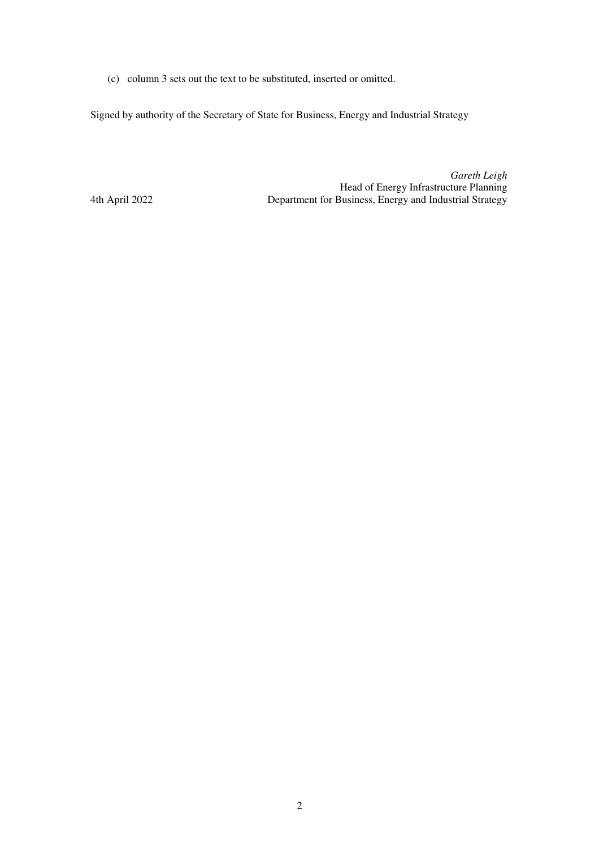(c) column 3 sets out the text to be substituted, inserted or omitted.

Signed by authority of the Secretary of State for Business, Energy and Industrial Strategy

*Gareth Leigh* Head of Energy Infrastructure Planning 4th April 2022 Department for Business, Energy and Industrial Strategy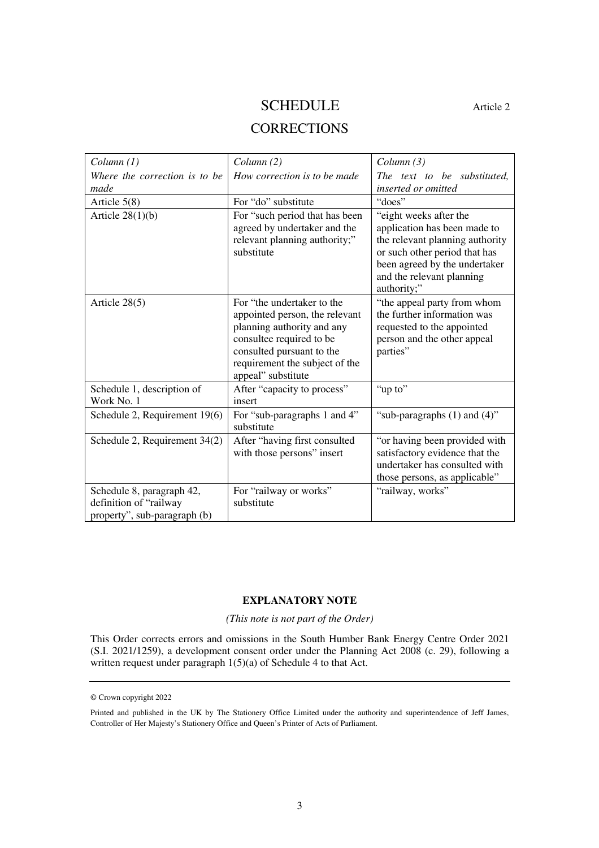## SCHEDULE Article 2

## **CORRECTIONS**

| Column(1)                                                                           | Column(2)                                                                                                                                                                                                   | Column(3)                                                                                                                                                                                               |
|-------------------------------------------------------------------------------------|-------------------------------------------------------------------------------------------------------------------------------------------------------------------------------------------------------------|---------------------------------------------------------------------------------------------------------------------------------------------------------------------------------------------------------|
| Where the correction is to be<br>made                                               | How correction is to be made                                                                                                                                                                                | The text to be substituted.<br>inserted or omitted                                                                                                                                                      |
| Article 5(8)                                                                        | For "do" substitute                                                                                                                                                                                         | "does"                                                                                                                                                                                                  |
| Article $28(1)(b)$                                                                  | For "such period that has been<br>agreed by undertaker and the<br>relevant planning authority;"<br>substitute                                                                                               | "eight weeks after the<br>application has been made to<br>the relevant planning authority<br>or such other period that has<br>been agreed by the undertaker<br>and the relevant planning<br>authority;" |
| Article $28(5)$                                                                     | For "the undertaker to the<br>appointed person, the relevant<br>planning authority and any<br>consultee required to be<br>consulted pursuant to the<br>requirement the subject of the<br>appeal" substitute | "the appeal party from whom<br>the further information was<br>requested to the appointed<br>person and the other appeal<br>parties"                                                                     |
| Schedule 1, description of<br>Work No. 1                                            | After "capacity to process"<br>insert                                                                                                                                                                       | "up to"                                                                                                                                                                                                 |
| Schedule 2, Requirement 19(6)                                                       | For "sub-paragraphs 1 and 4"<br>substitute                                                                                                                                                                  | "sub-paragraphs $(1)$ and $(4)$ "                                                                                                                                                                       |
| Schedule 2, Requirement 34(2)                                                       | After "having first consulted<br>with those persons" insert                                                                                                                                                 | "or having been provided with<br>satisfactory evidence that the<br>undertaker has consulted with<br>those persons, as applicable"                                                                       |
| Schedule 8, paragraph 42,<br>definition of "railway<br>property", sub-paragraph (b) | For "railway or works"<br>substitute                                                                                                                                                                        | "railway, works"                                                                                                                                                                                        |

## **EXPLANATORY NOTE**

### *(This note is not part of the Order)*

This Order corrects errors and omissions in the South Humber Bank Energy Centre Order 2021 (S.I. 2021/1259), a development consent order under the Planning Act 2008 (c. 29), following a written request under paragraph 1(5)(a) of Schedule 4 to that Act.

<sup>©</sup> Crown copyright 2022

Printed and published in the UK by The Stationery Office Limited under the authority and superintendence of Jeff James, Controller of Her Majesty's Stationery Office and Queen's Printer of Acts of Parliament.